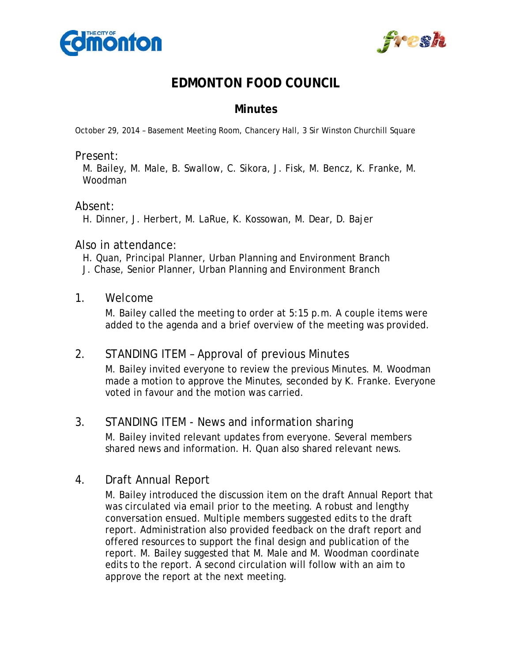



# **EDMONTON FOOD COUNCIL**

## **Minutes**

October 29, 2014 – Basement Meeting Room, Chancery Hall, 3 Sir Winston Churchill Square

#### Present:

M. Bailey, M. Male, B. Swallow, C. Sikora, J. Fisk, M. Bencz, K. Franke, M. Woodman

### Absent:

H. Dinner, J. Herbert, M. LaRue, K. Kossowan, M. Dear, D. Bajer

### Also in attendance:

- H. Quan, Principal Planner, Urban Planning and Environment Branch
- J. Chase, Senior Planner, Urban Planning and Environment Branch

### 1. Welcome

M. Bailey called the meeting to order at 5:15 p.m. A couple items were added to the agenda and a brief overview of the meeting was provided.

### 2. STANDING ITEM – Approval of previous Minutes

M. Bailey invited everyone to review the previous Minutes. M. Woodman made a motion to approve the Minutes, seconded by K. Franke. Everyone voted in favour and the motion was carried.

### 3. STANDING ITEM - News and information sharing

M. Bailey invited relevant updates from everyone. Several members shared news and information. H. Quan also shared relevant news.

## 4. Draft Annual Report

M. Bailey introduced the discussion item on the draft Annual Report that was circulated via email prior to the meeting. A robust and lengthy conversation ensued. Multiple members suggested edits to the draft report. Administration also provided feedback on the draft report and offered resources to support the final design and publication of the report. M. Bailey suggested that M. Male and M. Woodman coordinate edits to the report. A second circulation will follow with an aim to approve the report at the next meeting.